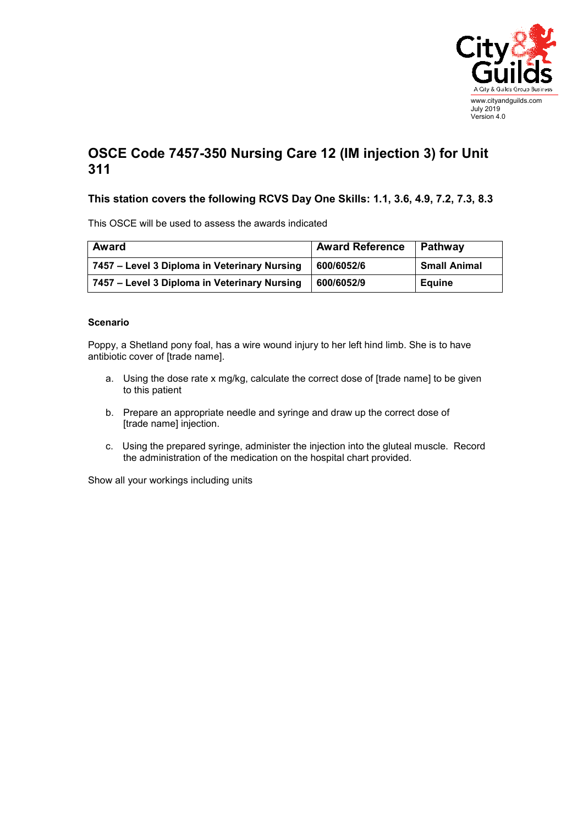

## **OSCE Code 7457-350 Nursing Care 12 (IM injection 3) for Unit 311**

## **This station covers the following RCVS Day One Skills: 1.1, 3.6, 4.9, 7.2, 7.3, 8.3**

This OSCE will be used to assess the awards indicated

| Award                                        | <b>Award Reference</b> | Pathway             |
|----------------------------------------------|------------------------|---------------------|
| 7457 – Level 3 Diploma in Veterinary Nursing | 600/6052/6             | <b>Small Animal</b> |
| 7457 – Level 3 Diploma in Veterinary Nursing | 600/6052/9             | <b>Equine</b>       |

## **Scenario**

Poppy, a Shetland pony foal, has a wire wound injury to her left hind limb. She is to have antibiotic cover of [trade name].

- a. Using the dose rate x mg/kg, calculate the correct dose of [trade name] to be given to this patient
- b. Prepare an appropriate needle and syringe and draw up the correct dose of [trade name] injection.
- c. Using the prepared syringe, administer the injection into the gluteal muscle. Record the administration of the medication on the hospital chart provided.

Show all your workings including units